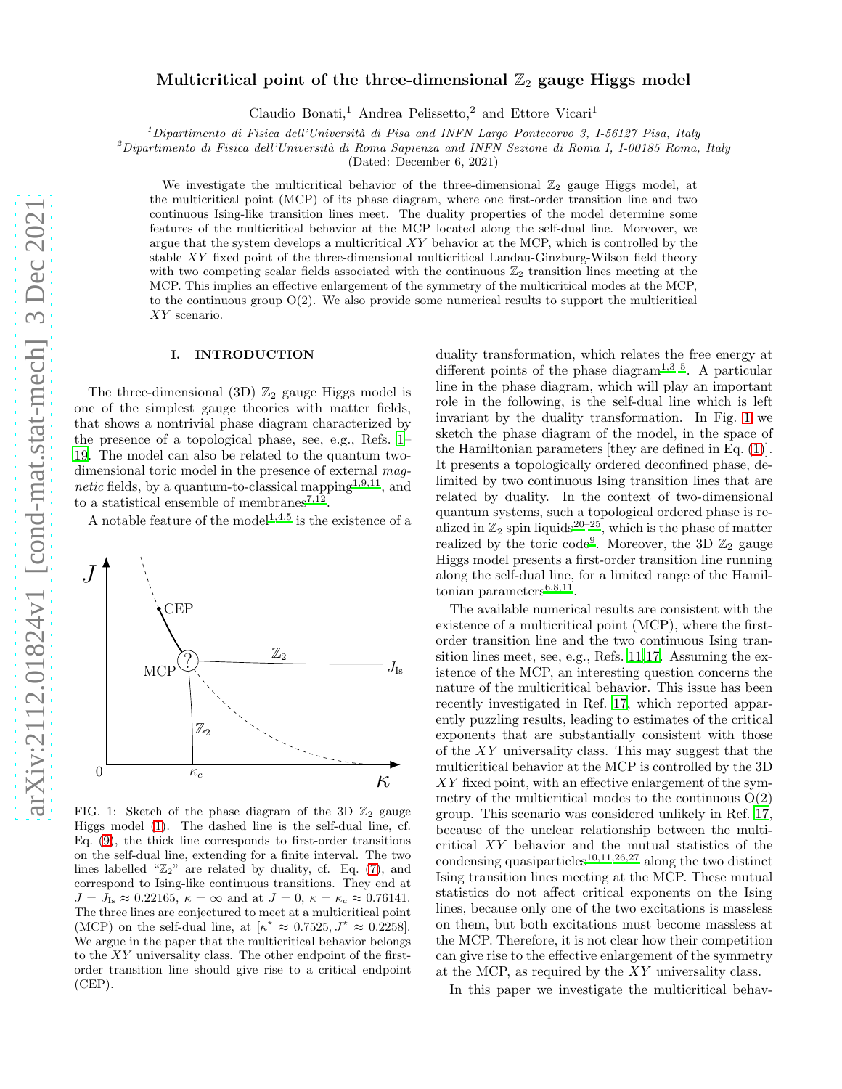# Multicritical point of the three-dimensional  $\mathbb{Z}_2$  gauge Higgs model

Claudio Bonati,<sup>1</sup> Andrea Pelissetto,<sup>2</sup> and Ettore Vicari<sup>1</sup>

 $1$ Dipartimento di Fisica dell'Università di Pisa and INFN Largo Pontecorvo 3, I-56127 Pisa, Italy

<sup>2</sup>Dipartimento di Fisica dell'Università di Roma Sapienza and INFN Sezione di Roma I, I-00185 Roma, Italy

(Dated: December 6, 2021)

We investigate the multicritical behavior of the three-dimensional  $\mathbb{Z}_2$  gauge Higgs model, at the multicritical point (MCP) of its phase diagram, where one first-order transition line and two continuous Ising-like transition lines meet. The duality properties of the model determine some features of the multicritical behavior at the MCP located along the self-dual line. Moreover, we argue that the system develops a multicritical  $XY$  behavior at the MCP, which is controlled by the stable XY fixed point of the three-dimensional multicritical Landau-Ginzburg-Wilson field theory with two competing scalar fields associated with the continuous  $\mathbb{Z}_2$  transition lines meeting at the MCP. This implies an effective enlargement of the symmetry of the multicritical modes at the MCP, to the continuous group  $O(2)$ . We also provide some numerical results to support the multicritical XY scenario.

# I. INTRODUCTION

The three-dimensional (3D)  $\mathbb{Z}_2$  gauge Higgs model is one of the simplest gauge theories with matter fields, that shows a nontrivial phase diagram characterized by the presence of a topological phase, see, e.g., Refs. [1](#page-8-0)– [19.](#page-8-1) The model can also be related to the quantum twodimensional toric model in the presence of external mag*netic* fields, by a quantum-to-classical mapping<sup>[1](#page-8-0)[,9](#page-8-2)[,11](#page-8-3)</sup>, and to a statistical ensemble of membranes<sup>[7](#page-8-4)[,12](#page-8-5)</sup>.

A notable feature of the model<sup>[1](#page-8-0)[,4](#page-8-6)[,5](#page-8-7)</sup> is the existence of a



<span id="page-0-0"></span>FIG. 1: Sketch of the phase diagram of the 3D  $\mathbb{Z}_2$  gauge Higgs model [\(1\)](#page-1-0). The dashed line is the self-dual line, cf. Eq. [\(9\)](#page-1-1), the thick line corresponds to first-order transitions on the self-dual line, extending for a finite interval. The two lines labelled " $\mathbb{Z}_2$ " are related by duality, cf. Eq. [\(7\)](#page-1-2), and correspond to Ising-like continuous transitions. They end at  $J = J_{\text{Is}} \approx 0.22165$ ,  $\kappa = \infty$  and at  $J = 0$ ,  $\kappa = \kappa_c \approx 0.76141$ . The three lines are conjectured to meet at a multicritical point (MCP) on the self-dual line, at  $\kappa^* \approx 0.7525, J^* \approx 0.2258$ . We argue in the paper that the multicritical behavior belongs to the XY universality class. The other endpoint of the firstorder transition line should give rise to a critical endpoint (CEP).

duality transformation, which relates the free energy at different points of the phase diagram<sup>[1](#page-8-0)[,3](#page-8-8)[–5](#page-8-7)</sup>. A particular line in the phase diagram, which will play an important role in the following, is the self-dual line which is left invariant by the duality transformation. In Fig. [1](#page-0-0) we sketch the phase diagram of the model, in the space of the Hamiltonian parameters [they are defined in Eq. [\(1\)](#page-1-0)]. It presents a topologically ordered deconfined phase, delimited by two continuous Ising transition lines that are related by duality. In the context of two-dimensional quantum systems, such a topological ordered phase is realized in  $\mathbb{Z}_2$  spin liquids<sup>[20](#page-8-9)[–25](#page-8-10)</sup>, which is the phase of matter realized by the toric code<sup>[9](#page-8-2)</sup>. Moreover, the 3D  $\mathbb{Z}_2$  gauge Higgs model presents a first-order transition line running along the self-dual line, for a limited range of the Hamiltonian parameters $6,8,11$  $6,8,11$  $6,8,11$ .

The available numerical results are consistent with the existence of a multicritical point (MCP), where the firstorder transition line and the two continuous Ising transition lines meet, see, e.g., Refs. [11](#page-8-3)[,17.](#page-8-13) Assuming the existence of the MCP, an interesting question concerns the nature of the multicritical behavior. This issue has been recently investigated in Ref. [17,](#page-8-13) which reported apparently puzzling results, leading to estimates of the critical exponents that are substantially consistent with those of the XY universality class. This may suggest that the multicritical behavior at the MCP is controlled by the 3D XY fixed point, with an effective enlargement of the symmetry of the multicritical modes to the continuous  $O(2)$ group. This scenario was considered unlikely in Ref. [17](#page-8-13), because of the unclear relationship between the multicritical XY behavior and the mutual statistics of the condensing quasiparticles<sup>[10](#page-8-14)[,11](#page-8-3)[,26](#page-8-15)[,27](#page-8-16)</sup> along the two distinct Ising transition lines meeting at the MCP. These mutual statistics do not affect critical exponents on the Ising lines, because only one of the two excitations is massless on them, but both excitations must become massless at the MCP. Therefore, it is not clear how their competition can give rise to the effective enlargement of the symmetry at the MCP, as required by the XY universality class.

In this paper we investigate the multicritical behav-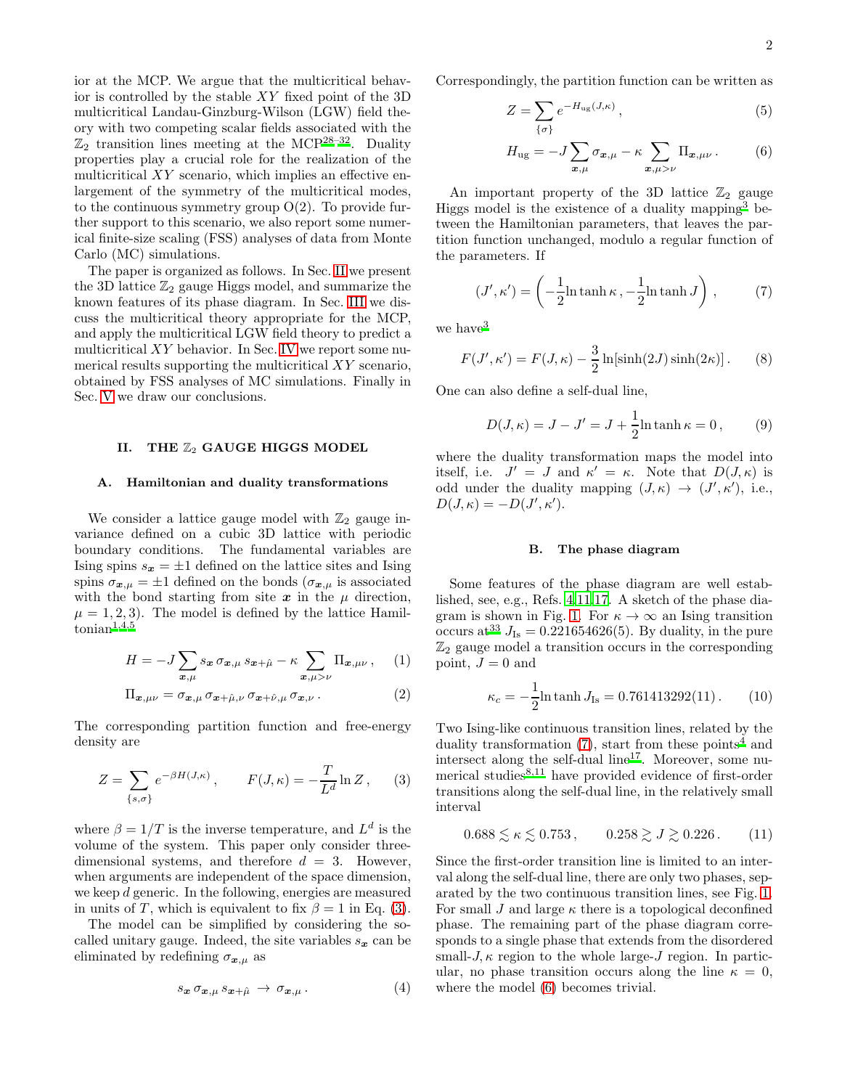ior at the MCP. We argue that the multicritical behavior is controlled by the stable XY fixed point of the 3D multicritical Landau-Ginzburg-Wilson (LGW) field theory with two competing scalar fields associated with the  $\mathbb{Z}_2$  transition lines meeting at the MCP<sup>[28](#page-8-17)[–32](#page-9-0)</sup>. Duality properties play a crucial role for the realization of the multicritical  $XY$  scenario, which implies an effective enlargement of the symmetry of the multicritical modes, to the continuous symmetry group  $O(2)$ . To provide further support to this scenario, we also report some numerical finite-size scaling (FSS) analyses of data from Monte Carlo (MC) simulations.

The paper is organized as follows. In Sec. [II](#page-1-3) we present the 3D lattice  $\mathbb{Z}_2$  gauge Higgs model, and summarize the known features of its phase diagram. In Sec. [III](#page-2-0) we discuss the multicritical theory appropriate for the MCP, and apply the multicritical LGW field theory to predict a multicritical  $XY$  behavior. In Sec. [IV](#page-5-0) we report some numerical results supporting the multicritical XY scenario, obtained by FSS analyses of MC simulations. Finally in Sec. [V](#page-8-18) we draw our conclusions.

# <span id="page-1-3"></span>II. THE  $\mathbb{Z}_2$  GAUGE HIGGS MODEL

### A. Hamiltonian and duality transformations

We consider a lattice gauge model with  $\mathbb{Z}_2$  gauge invariance defined on a cubic 3D lattice with periodic boundary conditions. The fundamental variables are Ising spins  $s_x = \pm 1$  defined on the lattice sites and Ising spins  $\sigma_{\mathbf{x},\mu} = \pm 1$  defined on the bonds  $(\sigma_{\mathbf{x},\mu})$  is associated with the bond starting from site  $x$  in the  $\mu$  direction,  $\mu = 1, 2, 3$ . The model is defined by the lattice Hamil- $\mathrm{tonian}^{1,4,5}$  $\mathrm{tonian}^{1,4,5}$  $\mathrm{tonian}^{1,4,5}$  $\mathrm{tonian}^{1,4,5}$  $\mathrm{tonian}^{1,4,5}$ 

<span id="page-1-0"></span>
$$
H = -J\sum_{\boldsymbol{x},\mu} s_{\boldsymbol{x}} \,\sigma_{\boldsymbol{x},\mu} \, s_{\boldsymbol{x}+\hat{\mu}} - \kappa \sum_{\boldsymbol{x},\mu>\nu} \Pi_{\boldsymbol{x},\mu\nu} , \quad (1)
$$

$$
\Pi_{\mathbf{x},\mu\nu} = \sigma_{\mathbf{x},\mu} \,\sigma_{\mathbf{x}+\hat{\mu},\nu} \,\sigma_{\mathbf{x}+\hat{\nu},\mu} \,\sigma_{\mathbf{x},\nu} \,. \tag{2}
$$

The corresponding partition function and free-energy density are

<span id="page-1-4"></span>
$$
Z = \sum_{\{s,\sigma\}} e^{-\beta H(J,\kappa)}, \qquad F(J,\kappa) = -\frac{T}{L^d} \ln Z, \qquad (3)
$$

where  $\beta = 1/T$  is the inverse temperature, and  $L^d$  is the volume of the system. This paper only consider threedimensional systems, and therefore  $d = 3$ . However, when arguments are independent of the space dimension, we keep d generic. In the following, energies are measured in units of T, which is equivalent to fix  $\beta = 1$  in Eq. [\(3\)](#page-1-4).

The model can be simplified by considering the socalled unitary gauge. Indeed, the site variables  $s_x$  can be eliminated by redefining  $\sigma_{\mathbf{x},\mu}$  as

$$
s_{\boldsymbol{x}} \, \sigma_{\boldsymbol{x},\mu} \, s_{\boldsymbol{x}+\hat{\mu}} \, \rightarrow \, \sigma_{\boldsymbol{x},\mu} \, . \tag{4}
$$

Correspondingly, the partition function can be written as

<span id="page-1-5"></span>
$$
Z = \sum_{\{\sigma\}} e^{-H_{\text{ug}}(J,\kappa)},\tag{5}
$$

$$
H_{\text{ug}} = -J \sum_{\boldsymbol{x},\mu} \sigma_{\boldsymbol{x},\mu} - \kappa \sum_{\boldsymbol{x},\mu > \nu} \Pi_{\boldsymbol{x},\mu\nu} . \tag{6}
$$

An important property of the 3D lattice  $\mathbb{Z}_2$  gauge Higgs model is the existence of a duality mapping[3](#page-8-8) between the Hamiltonian parameters, that leaves the partition function unchanged, modulo a regular function of the parameters. If

<span id="page-1-2"></span>
$$
(J', \kappa') = \left(-\frac{1}{2}\ln \tanh \kappa, -\frac{1}{2}\ln \tanh J\right),\tag{7}
$$

we have<sup>[3](#page-8-8)</sup>

<span id="page-1-6"></span>
$$
F(J', \kappa') = F(J, \kappa) - \frac{3}{2} \ln[\sinh(2J)\sinh(2\kappa)].
$$
 (8)

One can also define a self-dual line,

<span id="page-1-1"></span>
$$
D(J,\kappa) = J - J' = J + \frac{1}{2} \ln \tanh \kappa = 0, \qquad (9)
$$

where the duality transformation maps the model into itself, i.e.  $J' = J$  and  $\kappa' = \kappa$ . Note that  $D(J, \kappa)$  is odd under the duality mapping  $(J, \kappa) \rightarrow (J', \kappa')$ , i.e.,  $D(J,\kappa) = -D(J',\kappa').$ 

## <span id="page-1-7"></span>B. The phase diagram

Some features of the phase diagram are well established, see, e.g., Refs. [4](#page-8-6)[,11](#page-8-3)[,17](#page-8-13). A sketch of the phase dia-gram is shown in Fig. [1.](#page-0-0) For  $\kappa \to \infty$  an Ising transition occurs at <sup>[33](#page-9-1)</sup>  $J_{\text{Is}} = 0.221654626(5)$ . By duality, in the pure  $\mathbb{Z}_2$  gauge model a transition occurs in the corresponding point,  $J = 0$  and

$$
\kappa_c = -\frac{1}{2} \ln \tanh J_{\text{Is}} = 0.761413292(11). \tag{10}
$$

Two Ising-like continuous transition lines, related by the duality transformation  $(7)$ , start from these points<sup>[4](#page-8-6)</sup> and intersect along the self-dual line<sup>[17](#page-8-13)</sup>. Moreover, some numerical studies $8,11$  $8,11$  have provided evidence of first-order transitions along the self-dual line, in the relatively small interval

$$
0.688 \lesssim \kappa \lesssim 0.753 \,, \qquad 0.258 \gtrsim J \gtrsim 0.226 \,. \tag{11}
$$

Since the first-order transition line is limited to an interval along the self-dual line, there are only two phases, separated by the two continuous transition lines, see Fig. [1.](#page-0-0) For small J and large  $\kappa$  there is a topological deconfined phase. The remaining part of the phase diagram corresponds to a single phase that extends from the disordered small- $J, \kappa$  region to the whole large- $J$  region. In particular, no phase transition occurs along the line  $\kappa = 0$ , where the model [\(6\)](#page-1-5) becomes trivial.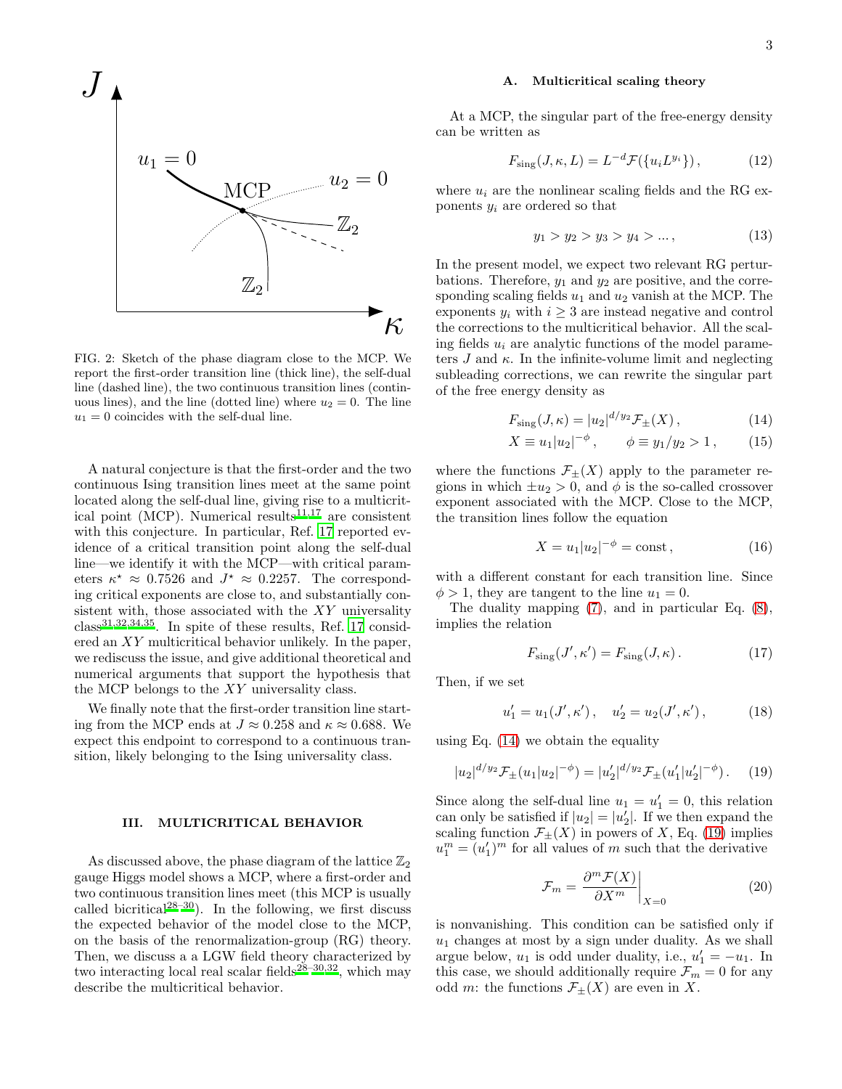

<span id="page-2-4"></span>FIG. 2: Sketch of the phase diagram close to the MCP. We report the first-order transition line (thick line), the self-dual line (dashed line), the two continuous transition lines (continuous lines), and the line (dotted line) where  $u_2 = 0$ . The line  $u_1 = 0$  coincides with the self-dual line.

A natural conjecture is that the first-order and the two continuous Ising transition lines meet at the same point located along the self-dual line, giving rise to a multicrit-ical point (MCP). Numerical results<sup>[11](#page-8-3)[,17](#page-8-13)</sup> are consistent with this conjecture. In particular, Ref. [17](#page-8-13) reported evidence of a critical transition point along the self-dual line—we identify it with the MCP—with critical parameters  $\kappa^* \approx 0.7526$  and  $J^* \approx 0.2257$ . The corresponding critical exponents are close to, and substantially consistent with, those associated with the  $XY$  universality class[31](#page-9-2)[,32](#page-9-0)[,34](#page-9-3)[,35](#page-9-4). In spite of these results, Ref. [17](#page-8-13) considered an XY multicritical behavior unlikely. In the paper, we rediscuss the issue, and give additional theoretical and numerical arguments that support the hypothesis that the MCP belongs to the XY universality class.

We finally note that the first-order transition line starting from the MCP ends at  $J \approx 0.258$  and  $\kappa \approx 0.688$ . We expect this endpoint to correspond to a continuous transition, likely belonging to the Ising universality class.

#### <span id="page-2-0"></span>III. MULTICRITICAL BEHAVIOR

As discussed above, the phase diagram of the lattice  $\mathbb{Z}_2$ gauge Higgs model shows a MCP, where a first-order and two continuous transition lines meet (this MCP is usually called bicritical<sup>[28](#page-8-17)[–30](#page-8-19)</sup>). In the following, we first discuss the expected behavior of the model close to the MCP, on the basis of the renormalization-group (RG) theory. Then, we discuss a a LGW field theory characterized by two interacting local real scalar fields<sup>[28](#page-8-17)[–30](#page-8-19)[,32](#page-9-0)</sup>, which may describe the multicritical behavior.

#### <span id="page-2-3"></span>A. Multicritical scaling theory

At a MCP, the singular part of the free-energy density can be written as

<span id="page-2-5"></span>
$$
F_{\text{sing}}(J,\kappa,L) = L^{-d} \mathcal{F}(\{u_i L^{y_i}\}),\tag{12}
$$

where  $u_i$  are the nonlinear scaling fields and the RG exponents  $y_i$  are ordered so that

$$
y_1 > y_2 > y_3 > y_4 > \dots,\tag{13}
$$

In the present model, we expect two relevant RG perturbations. Therefore,  $y_1$  and  $y_2$  are positive, and the corresponding scaling fields  $u_1$  and  $u_2$  vanish at the MCP. The exponents  $y_i$  with  $i \geq 3$  are instead negative and control the corrections to the multicritical behavior. All the scaling fields  $u_i$  are analytic functions of the model parameters  $J$  and  $\kappa$ . In the infinite-volume limit and neglecting subleading corrections, we can rewrite the singular part of the free energy density as

<span id="page-2-1"></span>
$$
F_{\rm sing}(J,\kappa) = |u_2|^{d/yz} \mathcal{F}_{\pm}(X) , \qquad (14)
$$

$$
X \equiv u_1 |u_2|^{-\phi} , \qquad \phi \equiv y_1 / y_2 > 1 , \qquad (15)
$$

where the functions  $\mathcal{F}_{\pm}(X)$  apply to the parameter regions in which  $\pm u_2 > 0$ , and  $\phi$  is the so-called crossover exponent associated with the MCP. Close to the MCP, the transition lines follow the equation

$$
X = u_1 |u_2|^{-\phi} = \text{const},\tag{16}
$$

with a different constant for each transition line. Since  $\phi > 1$ , they are tangent to the line  $u_1 = 0$ .

The duality mapping [\(7\)](#page-1-2), and in particular Eq. [\(8\)](#page-1-6), implies the relation

$$
F_{\rm sing}(J',\kappa') = F_{\rm sing}(J,\kappa). \tag{17}
$$

Then, if we set

$$
u_1' = u_1(J', \kappa'), \quad u_2' = u_2(J', \kappa'), \tag{18}
$$

using Eq.  $(14)$  we obtain the equality

<span id="page-2-2"></span>
$$
|u_2|^{d/y_2} \mathcal{F}_{\pm}(u_1|u_2|^{-\phi}) = |u_2'|^{d/y_2} \mathcal{F}_{\pm}(u_1'|u_2'|^{-\phi}). \tag{19}
$$

Since along the self-dual line  $u_1 = u'_1 = 0$ , this relation can only be satisfied if  $|u_2| = |u'_2|$ . If we then expand the scaling function  $\mathcal{F}_{\pm}(X)$  in powers of X, Eq. [\(19\)](#page-2-2) implies  $u_1^m = (u_1')^m$  for all values of m such that the derivative

$$
\mathcal{F}_m = \left. \frac{\partial^m \mathcal{F}(X)}{\partial X^m} \right|_{X=0} \tag{20}
$$

is nonvanishing. This condition can be satisfied only if  $u_1$  changes at most by a sign under duality. As we shall argue below,  $u_1$  is odd under duality, i.e.,  $u'_1 = -u_1$ . In this case, we should additionally require  $\mathcal{F}_m = 0$  for any odd m: the functions  $\mathcal{F}_{\pm}(X)$  are even in X.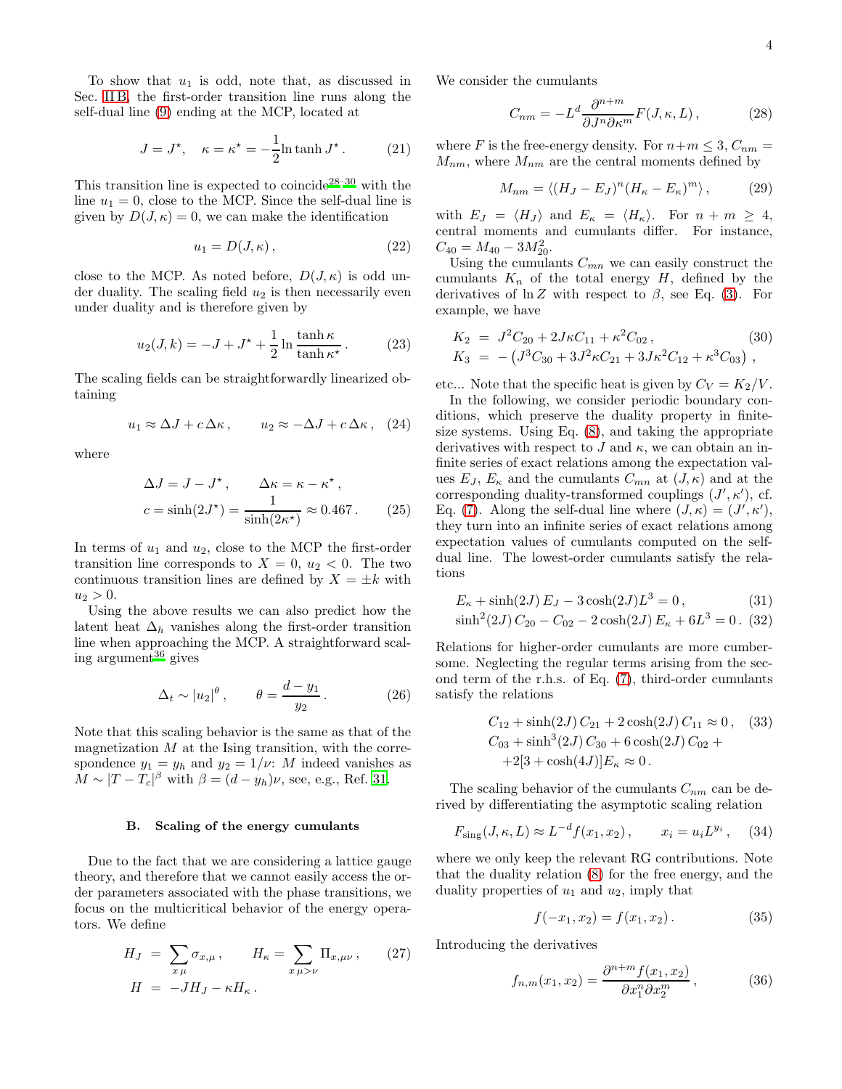To show that  $u_1$  is odd, note that, as discussed in Sec. [II B,](#page-1-7) the first-order transition line runs along the self-dual line [\(9\)](#page-1-1) ending at the MCP, located at

$$
J = J^*, \quad \kappa = \kappa^* = -\frac{1}{2}\ln \tanh J^*.
$$
 (21)

This transition line is expected to coincide<sup>[28](#page-8-17)[–30](#page-8-19)</sup> with the line  $u_1 = 0$ , close to the MCP. Since the self-dual line is given by  $D(J, \kappa) = 0$ , we can make the identification

$$
u_1 = D(J, \kappa) \,, \tag{22}
$$

close to the MCP. As noted before,  $D(J,\kappa)$  is odd under duality. The scaling field  $u_2$  is then necessarily even under duality and is therefore given by

<span id="page-3-4"></span>
$$
u_2(J,k) = -J + J^* + \frac{1}{2} \ln \frac{\tanh \kappa}{\tanh \kappa^*}.
$$
 (23)

The scaling fields can be straightforwardly linearized obtaining

$$
u_1 \approx \Delta J + c \Delta \kappa
$$
,  $u_2 \approx -\Delta J + c \Delta \kappa$ , (24)

where

$$
\Delta J = J - J^*, \qquad \Delta \kappa = \kappa - \kappa^*,
$$
  

$$
c = \sinh(2J^*) = \frac{1}{\sinh(2\kappa^*)} \approx 0.467. \tag{25}
$$

In terms of  $u_1$  and  $u_2$ , close to the MCP the first-order transition line corresponds to  $X = 0$ ,  $u_2 < 0$ . The two continuous transition lines are defined by  $X = \pm k$  with  $u_2 > 0$ .

Using the above results we can also predict how the latent heat  $\Delta_h$  vanishes along the first-order transition line when approaching the MCP. A straightforward scaling argument $^{36}$  $^{36}$  $^{36}$  gives

$$
\Delta_t \sim |u_2|^\theta \,, \qquad \theta = \frac{d - y_1}{y_2} \,. \tag{26}
$$

Note that this scaling behavior is the same as that of the magnetization  $M$  at the Ising transition, with the correspondence  $y_1 = y_h$  and  $y_2 = 1/\nu$ : M indeed vanishes as  $M \sim |T - T_c|^{\beta}$  with  $\beta = (d - y_h)\nu$ , see, e.g., Ref. [31](#page-9-2).

#### <span id="page-3-3"></span>B. Scaling of the energy cumulants

Due to the fact that we are considering a lattice gauge theory, and therefore that we cannot easily access the order parameters associated with the phase transitions, we focus on the multicritical behavior of the energy operators. We define

$$
H_J = \sum_{x\,\mu} \sigma_{x,\mu}, \qquad H_\kappa = \sum_{x\,\mu > \nu} \Pi_{x,\mu\nu}, \qquad (27)
$$
\n
$$
H = -JH_J - \kappa H_\kappa.
$$

We consider the cumulants

$$
C_{nm} = -L^d \frac{\partial^{n+m}}{\partial J^n \partial \kappa^m} F(J, \kappa, L), \qquad (28)
$$

where F is the free-energy density. For  $n+m \leq 3$ ,  $C_{nm}$  =  $M_{nm}$ , where  $M_{nm}$  are the central moments defined by

$$
M_{nm} = \langle (H_J - E_J)^n (H_\kappa - E_\kappa)^m \rangle ,\qquad (29)
$$

with  $E_J = \langle H_J \rangle$  and  $E_{\kappa} = \langle H_{\kappa} \rangle$ . For  $n + m \geq 4$ , central moments and cumulants differ. For instance,  $C_{40} = M_{40} - 3M_{20}^2$ .

Using the cumulants  $C_{mn}$  we can easily construct the cumulants  $K_n$  of the total energy H, defined by the derivatives of  $\ln Z$  with respect to  $\beta$ , see Eq. [\(3\)](#page-1-4). For example, we have

<span id="page-3-2"></span>
$$
K_2 = J^2 C_{20} + 2J\kappa C_{11} + \kappa^2 C_{02},
$$
\n
$$
K_3 = -\left(J^3 C_{30} + 3J^2\kappa C_{21} + 3J\kappa^2 C_{12} + \kappa^3 C_{03}\right),
$$
\n(30)

etc... Note that the specific heat is given by  $C_V = K_2/V$ .

In the following, we consider periodic boundary conditions, which preserve the duality property in finitesize systems. Using Eq. [\(8\)](#page-1-6), and taking the appropriate derivatives with respect to  $J$  and  $\kappa$ , we can obtain an infinite series of exact relations among the expectation values  $E_J, E_{\kappa}$  and the cumulants  $C_{mn}$  at  $(J, \kappa)$  and at the corresponding duality-transformed couplings  $(J', \kappa')$ , cf. Eq. [\(7\)](#page-1-2). Along the self-dual line where  $(J, \kappa) = (J', \kappa'),$ they turn into an infinite series of exact relations among expectation values of cumulants computed on the selfdual line. The lowest-order cumulants satisfy the relations

<span id="page-3-1"></span>
$$
E_{\kappa} + \sinh(2J) E_J - 3\cosh(2J)L^3 = 0, \qquad (31)
$$
  
\n
$$
\sinh^2(2J) C_{20} - C_{02} - 2\cosh(2J) E_{\kappa} + 6L^3 = 0. \quad (32)
$$

Relations for higher-order cumulants are more cumbersome. Neglecting the regular terms arising from the second term of the r.h.s. of Eq. [\(7\)](#page-1-2), third-order cumulants satisfy the relations

$$
C_{12} + \sinh(2J) C_{21} + 2 \cosh(2J) C_{11} \approx 0, \quad (33)
$$
  
\n
$$
C_{03} + \sinh^3(2J) C_{30} + 6 \cosh(2J) C_{02} +
$$
  
\n
$$
+ 2[3 + \cosh(4J)] E_{\kappa} \approx 0.
$$

The scaling behavior of the cumulants  $C_{nm}$  can be derived by differentiating the asymptotic scaling relation

$$
F_{\text{sing}}(J,\kappa,L) \approx L^{-d} f(x_1,x_2), \qquad x_i = u_i L^{y_i}, \quad (34)
$$

where we only keep the relevant RG contributions. Note that the duality relation [\(8\)](#page-1-6) for the free energy, and the duality properties of  $u_1$  and  $u_2$ , imply that

<span id="page-3-0"></span>
$$
f(-x_1, x_2) = f(x_1, x_2). \tag{35}
$$

Introducing the derivatives

$$
f_{n,m}(x_1, x_2) = \frac{\partial^{n+m} f(x_1, x_2)}{\partial x_1^n \partial x_2^m}, \qquad (36)
$$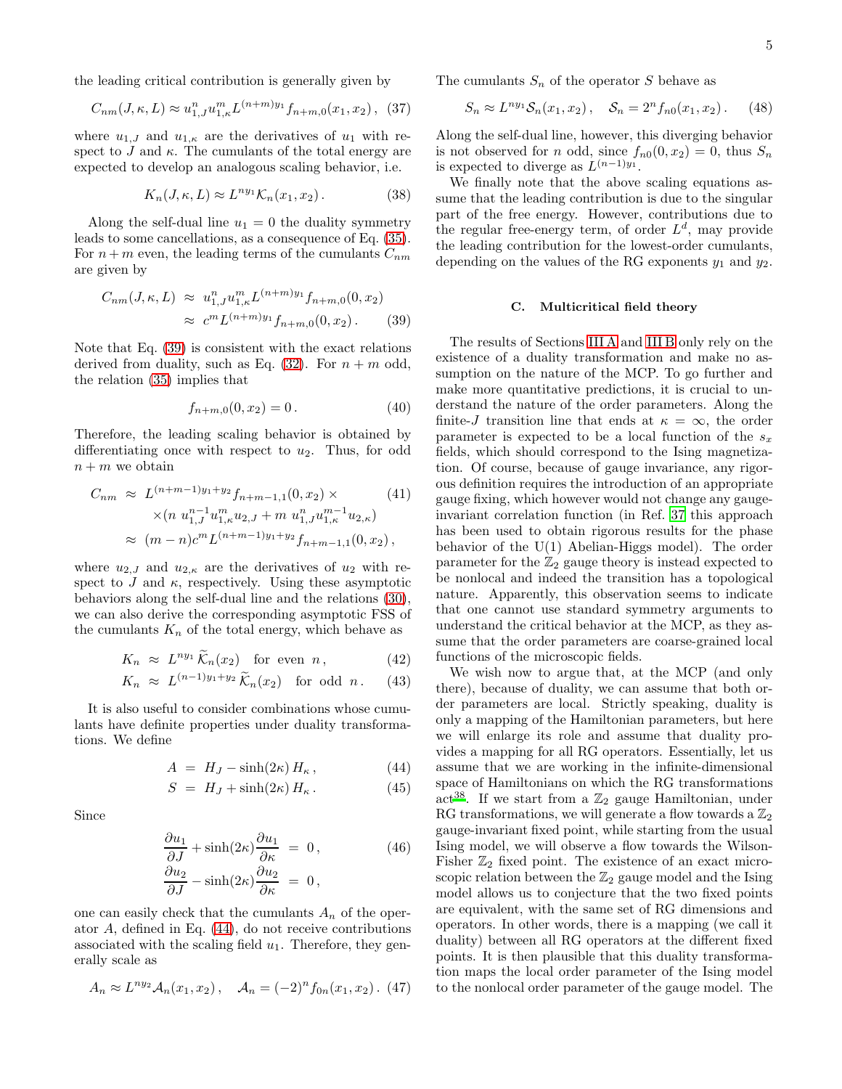the leading critical contribution is generally given by

$$
C_{nm}(J,\kappa,L) \approx u_{1,J}^n u_{1,\kappa}^m L^{(n+m)y_1} f_{n+m,0}(x_1,x_2), \tag{37}
$$

where  $u_{1,J}$  and  $u_{1,\kappa}$  are the derivatives of  $u_1$  with respect to J and  $\kappa$ . The cumulants of the total energy are expected to develop an analogous scaling behavior, i.e.

<span id="page-4-4"></span>
$$
K_n(J,\kappa,L) \approx L^{ny_1} \mathcal{K}_n(x_1,x_2). \tag{38}
$$

Along the self-dual line  $u_1 = 0$  the duality symmetry leads to some cancellations, as a consequence of Eq. [\(35\)](#page-3-0). For  $n + m$  even, the leading terms of the cumulants  $C_{nm}$ are given by

<span id="page-4-0"></span>
$$
C_{nm}(J,\kappa,L) \approx u_{1,J}^n u_{1,\kappa}^m L^{(n+m)y_1} f_{n+m,0}(0,x_2)
$$
  

$$
\approx c^m L^{(n+m)y_1} f_{n+m,0}(0,x_2).
$$
 (39)

Note that Eq. [\(39\)](#page-4-0) is consistent with the exact relations derived from duality, such as Eq.  $(32)$ . For  $n + m$  odd, the relation [\(35\)](#page-3-0) implies that

$$
f_{n+m,0}(0, x_2) = 0.
$$
 (40)

Therefore, the leading scaling behavior is obtained by differentiating once with respect to  $u_2$ . Thus, for odd  $n + m$  we obtain

$$
C_{nm} \approx L^{(n+m-1)y_1+y_2} f_{n+m-1,1}(0, x_2) \times (41)
$$
  
 
$$
\times (n u_{1,J}^{n-1} u_{1,\kappa}^m u_{2,J} + m u_{1,J}^n u_{1,\kappa}^{m-1} u_{2,\kappa})
$$
  
 
$$
\approx (m-n)c^m L^{(n+m-1)y_1+y_2} f_{n+m-1,1}(0, x_2),
$$

where  $u_{2,J}$  and  $u_{2,\kappa}$  are the derivatives of  $u_2$  with respect to  $J$  and  $\kappa$ , respectively. Using these asymptotic behaviors along the self-dual line and the relations [\(30\)](#page-3-2), we can also derive the corresponding asymptotic FSS of the cumulants  $K_n$  of the total energy, which behave as

<span id="page-4-2"></span>
$$
K_n \approx L^{ny_1} \tilde{K}_n(x_2) \quad \text{for even } n, \tag{42}
$$

$$
K_n \approx L^{(n-1)y_1+y_2} \widetilde{K}_n(x_2) \quad \text{for odd } n. \tag{43}
$$

It is also useful to consider combinations whose cumulants have definite properties under duality transformations. We define

<span id="page-4-1"></span>
$$
A = H_J - \sinh(2\kappa) H_\kappa, \qquad (44)
$$

$$
S = H_J + \sinh(2\kappa) H_\kappa. \tag{45}
$$

Since

$$
\frac{\partial u_1}{\partial J} + \sinh(2\kappa) \frac{\partial u_1}{\partial \kappa} = 0, \qquad (46)
$$

$$
\frac{\partial u_2}{\partial J} - \sinh(2\kappa) \frac{\partial u_2}{\partial \kappa} = 0,
$$

one can easily check that the cumulants  $A_n$  of the operator A, defined in Eq. [\(44\)](#page-4-1), do not receive contributions associated with the scaling field  $u_1$ . Therefore, they generally scale as

<span id="page-4-3"></span>
$$
A_n \approx L^{n y_2} A_n(x_1, x_2), \quad A_n = (-2)^n f_{0n}(x_1, x_2). \tag{47}
$$

The cumulants  $S_n$  of the operator S behave as

<span id="page-4-5"></span>
$$
S_n \approx L^{ny_1} S_n(x_1, x_2), \quad S_n = 2^n f_{n0}(x_1, x_2). \tag{48}
$$

Along the self-dual line, however, this diverging behavior is not observed for n odd, since  $f_{n0}(0, x_2) = 0$ , thus  $S_n$ is expected to diverge as  $L^{(n-1)y_1}$ .

We finally note that the above scaling equations assume that the leading contribution is due to the singular part of the free energy. However, contributions due to the regular free-energy term, of order  $L<sup>d</sup>$ , may provide the leading contribution for the lowest-order cumulants, depending on the values of the RG exponents  $y_1$  and  $y_2$ .

#### C. Multicritical field theory

The results of Sections [III A](#page-2-3) and [III B](#page-3-3) only rely on the existence of a duality transformation and make no assumption on the nature of the MCP. To go further and make more quantitative predictions, it is crucial to understand the nature of the order parameters. Along the finite-J transition line that ends at  $\kappa = \infty$ , the order parameter is expected to be a local function of the  $s_x$ fields, which should correspond to the Ising magnetization. Of course, because of gauge invariance, any rigorous definition requires the introduction of an appropriate gauge fixing, which however would not change any gaugeinvariant correlation function (in Ref. [37](#page-9-6) this approach has been used to obtain rigorous results for the phase behavior of the U(1) Abelian-Higgs model). The order parameter for the  $\mathbb{Z}_2$  gauge theory is instead expected to be nonlocal and indeed the transition has a topological nature. Apparently, this observation seems to indicate that one cannot use standard symmetry arguments to understand the critical behavior at the MCP, as they assume that the order parameters are coarse-grained local functions of the microscopic fields.

We wish now to argue that, at the MCP (and only there), because of duality, we can assume that both order parameters are local. Strictly speaking, duality is only a mapping of the Hamiltonian parameters, but here we will enlarge its role and assume that duality provides a mapping for all RG operators. Essentially, let us assume that we are working in the infinite-dimensional space of Hamiltonians on which the RG transformations act<sup>[38](#page-9-7)</sup>. If we start from a  $\mathbb{Z}_2$  gauge Hamiltonian, under RG transformations, we will generate a flow towards a  $\mathbb{Z}_2$ gauge-invariant fixed point, while starting from the usual Ising model, we will observe a flow towards the Wilson-Fisher  $\mathbb{Z}_2$  fixed point. The existence of an exact microscopic relation between the  $\mathbb{Z}_2$  gauge model and the Ising model allows us to conjecture that the two fixed points are equivalent, with the same set of RG dimensions and operators. In other words, there is a mapping (we call it duality) between all RG operators at the different fixed points. It is then plausible that this duality transformation maps the local order parameter of the Ising model to the nonlocal order parameter of the gauge model. The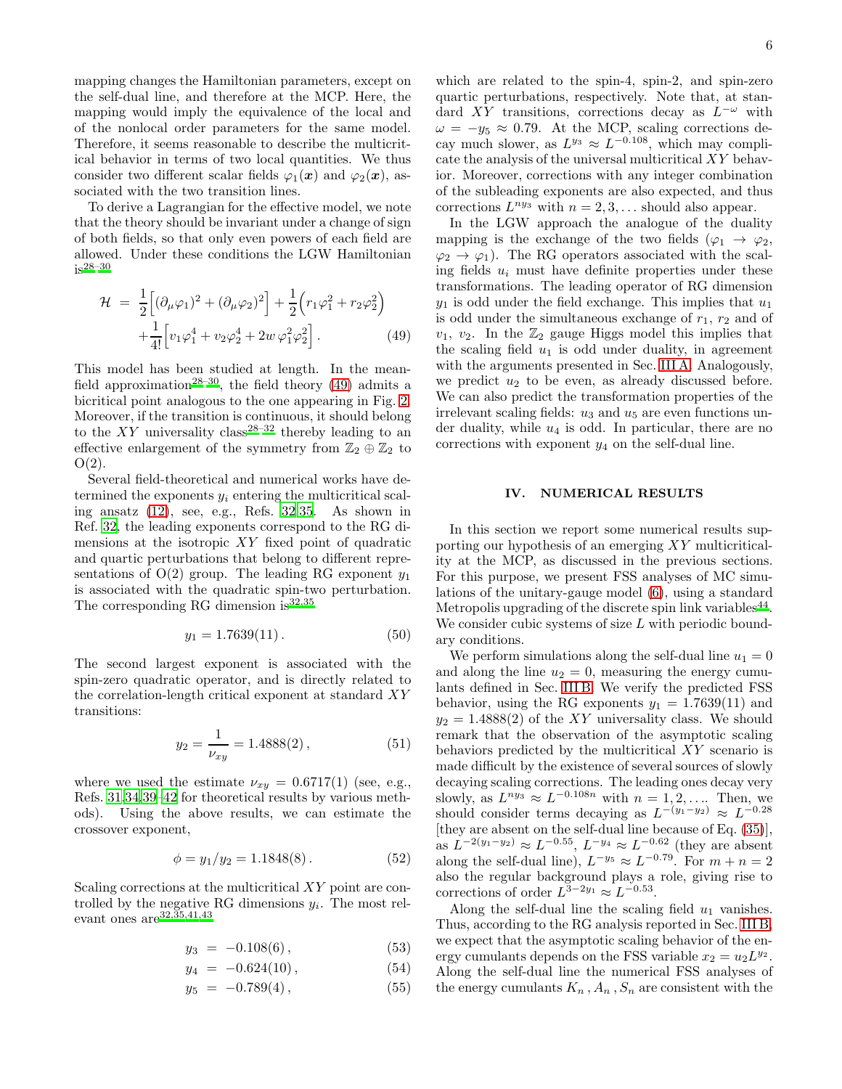mapping changes the Hamiltonian parameters, except on the self-dual line, and therefore at the MCP. Here, the mapping would imply the equivalence of the local and of the nonlocal order parameters for the same model. Therefore, it seems reasonable to describe the multicritical behavior in terms of two local quantities. We thus consider two different scalar fields  $\varphi_1(x)$  and  $\varphi_2(x)$ , associated with the two transition lines.

To derive a Lagrangian for the effective model, we note that the theory should be invariant under a change of sign of both fields, so that only even powers of each field are allowed. Under these conditions the LGW Hamiltonian  $is^{28-30}$  $is^{28-30}$  $is^{28-30}$ 

<span id="page-5-1"></span>
$$
\mathcal{H} = \frac{1}{2} \Big[ (\partial_{\mu} \varphi_1)^2 + (\partial_{\mu} \varphi_2)^2 \Big] + \frac{1}{2} \Big( r_1 \varphi_1^2 + r_2 \varphi_2^2 \Big) \n+ \frac{1}{4!} \Big[ v_1 \varphi_1^4 + v_2 \varphi_2^4 + 2w \varphi_1^2 \varphi_2^2 \Big].
$$
\n(49)

This model has been studied at length. In the mean-field approximation<sup>[28](#page-8-17)[–30](#page-8-19)</sup>, the field theory [\(49\)](#page-5-1) admits a bicritical point analogous to the one appearing in Fig. [2.](#page-2-4) Moreover, if the transition is continuous, it should belong to the  $XY$  universality class<sup>[28](#page-8-17)[–32](#page-9-0)</sup> thereby leading to an effective enlargement of the symmetry from  $\mathbb{Z}_2 \oplus \mathbb{Z}_2$  to  $O(2)$ .

Several field-theoretical and numerical works have determined the exponents  $y_i$  entering the multicritical scaling ansatz [\(12\)](#page-2-5), see, e.g., Refs. [32](#page-9-0)[,35.](#page-9-4) As shown in Ref. [32,](#page-9-0) the leading exponents correspond to the RG dimensions at the isotropic  $XY$  fixed point of quadratic and quartic perturbations that belong to different representations of  $O(2)$  group. The leading RG exponent  $y_1$ is associated with the quadratic spin-two perturbation. The corresponding RG dimension is  $32,35$  $32,35$ 

<span id="page-5-2"></span>
$$
y_1 = 1.7639(11). \t(50)
$$

The second largest exponent is associated with the spin-zero quadratic operator, and is directly related to the correlation-length critical exponent at standard XY transitions:

<span id="page-5-3"></span>
$$
y_2 = \frac{1}{\nu_{xy}} = 1.4888(2),\tag{51}
$$

where we used the estimate  $\nu_{xy} = 0.6717(1)$  (see, e.g., Refs. [31](#page-9-2)[,34](#page-9-3)[,39](#page-9-8)[–42](#page-9-9) for theoretical results by various methods). Using the above results, we can estimate the crossover exponent,

$$
\phi = y_1/y_2 = 1.1848(8). \tag{52}
$$

Scaling corrections at the multicritical XY point are controlled by the negative RG dimensions  $y_i$ . The most relevant ones  $are^{32,35,41,43}$  $are^{32,35,41,43}$  $are^{32,35,41,43}$  $are^{32,35,41,43}$  $are^{32,35,41,43}$  $are^{32,35,41,43}$ 

<span id="page-5-4"></span>
$$
y_3 = -0.108(6), \tag{53}
$$

$$
y_4 = -0.624(10), \tag{54}
$$

$$
y_5 = -0.789(4), \tag{55}
$$

which are related to the spin-4, spin-2, and spin-zero quartic perturbations, respectively. Note that, at standard XY transitions, corrections decay as  $L^{-\omega}$  with  $\omega = -y_5 \approx 0.79$ . At the MCP, scaling corrections decay much slower, as  $L^{y_3} \approx L^{-0.108}$ , which may complicate the analysis of the universal multicritical XY behavior. Moreover, corrections with any integer combination of the subleading exponents are also expected, and thus corrections  $L^{n y_3}$  with  $n = 2, 3, \dots$  should also appear.

In the LGW approach the analogue of the duality mapping is the exchange of the two fields ( $\varphi_1 \to \varphi_2$ ,  $\varphi_2 \to \varphi_1$ ). The RG operators associated with the scaling fields  $u_i$  must have definite properties under these transformations. The leading operator of RG dimension  $y_1$  is odd under the field exchange. This implies that  $u_1$ is odd under the simultaneous exchange of  $r_1$ ,  $r_2$  and of  $v_1, v_2$ . In the  $\mathbb{Z}_2$  gauge Higgs model this implies that the scaling field  $u_1$  is odd under duality, in agreement with the arguments presented in Sec. [III A.](#page-2-3) Analogously, we predict  $u_2$  to be even, as already discussed before. We can also predict the transformation properties of the irrelevant scaling fields:  $u_3$  and  $u_5$  are even functions under duality, while  $u_4$  is odd. In particular, there are no corrections with exponent  $y_4$  on the self-dual line.

### <span id="page-5-0"></span>IV. NUMERICAL RESULTS

In this section we report some numerical results supporting our hypothesis of an emerging XY multicriticality at the MCP, as discussed in the previous sections. For this purpose, we present FSS analyses of MC simulations of the unitary-gauge model [\(6\)](#page-1-5), using a standard Metropolis upgrading of the discrete spin link variables<sup>[44](#page-9-12)</sup>. We consider cubic systems of size L with periodic boundary conditions.

We perform simulations along the self-dual line  $u_1 = 0$ and along the line  $u_2 = 0$ , measuring the energy cumulants defined in Sec. [III B.](#page-3-3) We verify the predicted FSS behavior, using the RG exponents  $y_1 = 1.7639(11)$  and  $y_2 = 1.4888(2)$  of the XY universality class. We should remark that the observation of the asymptotic scaling behaviors predicted by the multicritical XY scenario is made difficult by the existence of several sources of slowly decaying scaling corrections. The leading ones decay very slowly, as  $L^{n y_3} \approx L^{-0.108n}$  with  $n = 1, 2, \ldots$  Then, we should consider terms decaying as  $L^{-(y_1-y_2)} \approx L^{-0.28}$ [they are absent on the self-dual line because of Eq. [\(35\)](#page-3-0)], as  $L^{-2(y_1-y_2)} \approx L^{-0.55}$ ,  $L^{-y_4} \approx L^{-0.62}$  (they are absent along the self-dual line),  $L^{-y_5} \approx L^{-0.79}$ . For  $m + n = 2$ also the regular background plays a role, giving rise to corrections of order  $L^{3-2y_1} \approx L^{-0.53}$ .

Along the self-dual line the scaling field  $u_1$  vanishes. Thus, according to the RG analysis reported in Sec. [III B,](#page-3-3) we expect that the asymptotic scaling behavior of the energy cumulants depends on the FSS variable  $x_2 = u_2 L^{y_2}$ . Along the self-dual line the numerical FSS analyses of the energy cumulants  $K_n$ ,  $A_n$ ,  $S_n$  are consistent with the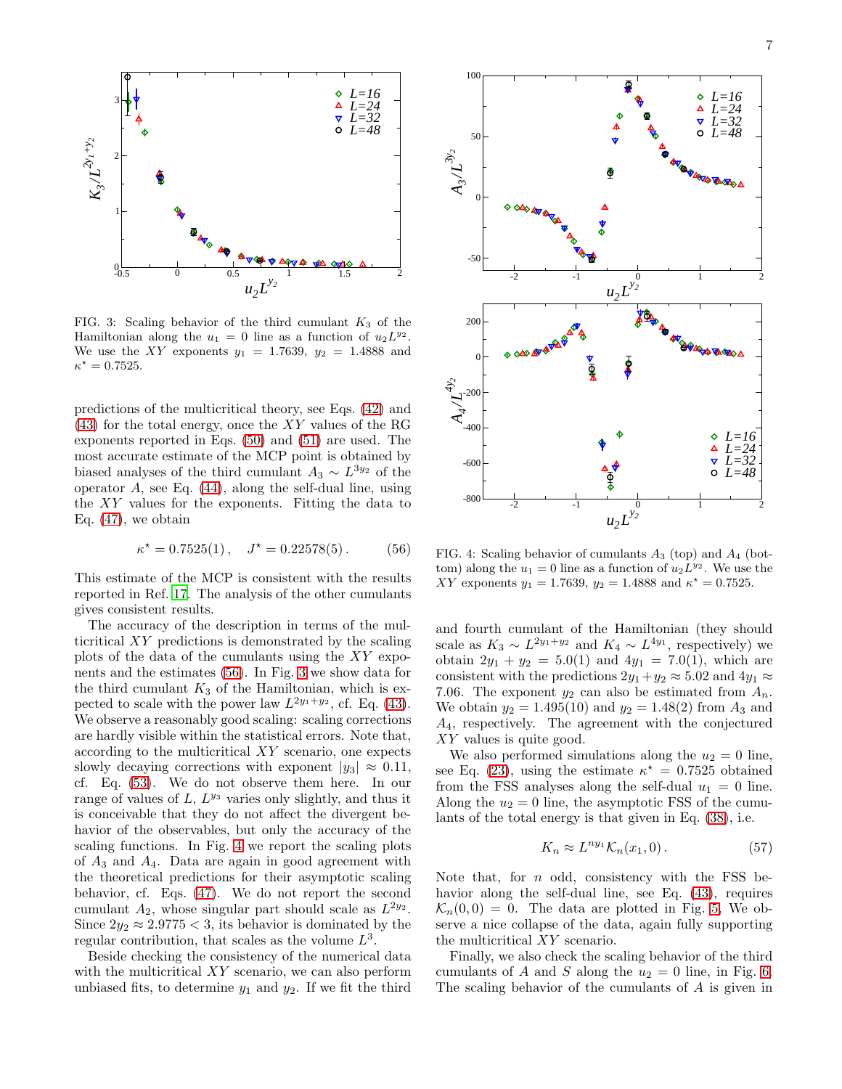

<span id="page-6-1"></span>FIG. 3: Scaling behavior of the third cumulant  $K_3$  of the Hamiltonian along the  $u_1 = 0$  line as a function of  $u_2 L^{y_2}$ . We use the XY exponents  $y_1 = 1.7639, y_2 = 1.4888$  and  $\kappa^* = 0.7525.$ 

predictions of the multicritical theory, see Eqs. [\(42\)](#page-4-2) and [\(43\)](#page-4-2) for the total energy, once the XY values of the RG exponents reported in Eqs. [\(50\)](#page-5-2) and [\(51\)](#page-5-3) are used. The most accurate estimate of the MCP point is obtained by biased analyses of the third cumulant  $A_3 \sim L^{3y_2}$  of the operator  $A$ , see Eq.  $(44)$ , along the self-dual line, using the XY values for the exponents. Fitting the data to Eq.  $(47)$ , we obtain

<span id="page-6-0"></span>
$$
\kappa^* = 0.7525(1) \,, \quad J^* = 0.22578(5) \,. \tag{56}
$$

This estimate of the MCP is consistent with the results reported in Ref. [17](#page-8-13). The analysis of the other cumulants gives consistent results.

The accuracy of the description in terms of the multicritical XY predictions is demonstrated by the scaling plots of the data of the cumulants using the XY exponents and the estimates [\(56\)](#page-6-0). In Fig. [3](#page-6-1) we show data for the third cumulant  $K_3$  of the Hamiltonian, which is expected to scale with the power law  $L^{2y_1+y_2}$ , cf. Eq. [\(43\)](#page-4-2). We observe a reasonably good scaling: scaling corrections are hardly visible within the statistical errors. Note that, according to the multicritical XY scenario, one expects slowly decaying corrections with exponent  $|y_3| \approx 0.11$ , cf. Eq. [\(53\)](#page-5-4). We do not observe them here. In our range of values of  $L, L^{y_3}$  varies only slightly, and thus it is conceivable that they do not affect the divergent behavior of the observables, but only the accuracy of the scaling functions. In Fig. [4](#page-6-2) we report the scaling plots of  $A_3$  and  $A_4$ . Data are again in good agreement with the theoretical predictions for their asymptotic scaling behavior, cf. Eqs. [\(47\)](#page-4-3). We do not report the second cumulant  $A_2$ , whose singular part should scale as  $L^{2y_2}$ . Since  $2y_2 \approx 2.9775 < 3$ , its behavior is dominated by the regular contribution, that scales as the volume  $L^3$ .

Beside checking the consistency of the numerical data with the multicritical XY scenario, we can also perform unbiased fits, to determine  $y_1$  and  $y_2$ . If we fit the third



<span id="page-6-2"></span>FIG. 4: Scaling behavior of cumulants  $A_3$  (top) and  $A_4$  (bottom) along the  $u_1 = 0$  line as a function of  $u_2 L^{y_2}$ . We use the XY exponents  $y_1 = 1.7639$ ,  $y_2 = 1.4888$  and  $\kappa^* = 0.7525$ .

and fourth cumulant of the Hamiltonian (they should scale as  $K_3 \sim L^{2y_1+y_2}$  and  $K_4 \sim L^{4y_1}$ , respectively) we obtain  $2y_1 + y_2 = 5.0(1)$  and  $4y_1 = 7.0(1)$ , which are consistent with the predictions  $2y_1+y_2\approx 5.02$  and  $4y_1\approx$ 7.06. The exponent  $y_2$  can also be estimated from  $A_n$ . We obtain  $y_2 = 1.495(10)$  and  $y_2 = 1.48(2)$  from  $A_3$  and A4, respectively. The agreement with the conjectured XY values is quite good.

We also performed simulations along the  $u_2 = 0$  line, see Eq. [\(23\)](#page-3-4), using the estimate  $\kappa^* = 0.7525$  obtained from the FSS analyses along the self-dual  $u_1 = 0$  line. Along the  $u_2 = 0$  line, the asymptotic FSS of the cumulants of the total energy is that given in Eq. [\(38\)](#page-4-4), i.e.

<span id="page-6-3"></span>
$$
K_n \approx L^{ny_1} \mathcal{K}_n(x_1, 0). \tag{57}
$$

Note that, for  $n$  odd, consistency with the FSS behavior along the self-dual line, see Eq. [\(43\)](#page-4-2), requires  $\mathcal{K}_n(0,0) = 0$ . The data are plotted in Fig. [5,](#page-7-0) We observe a nice collapse of the data, again fully supporting the multicritical XY scenario.

Finally, we also check the scaling behavior of the third cumulants of A and S along the  $u_2 = 0$  line, in Fig. [6.](#page-7-1) The scaling behavior of the cumulants of A is given in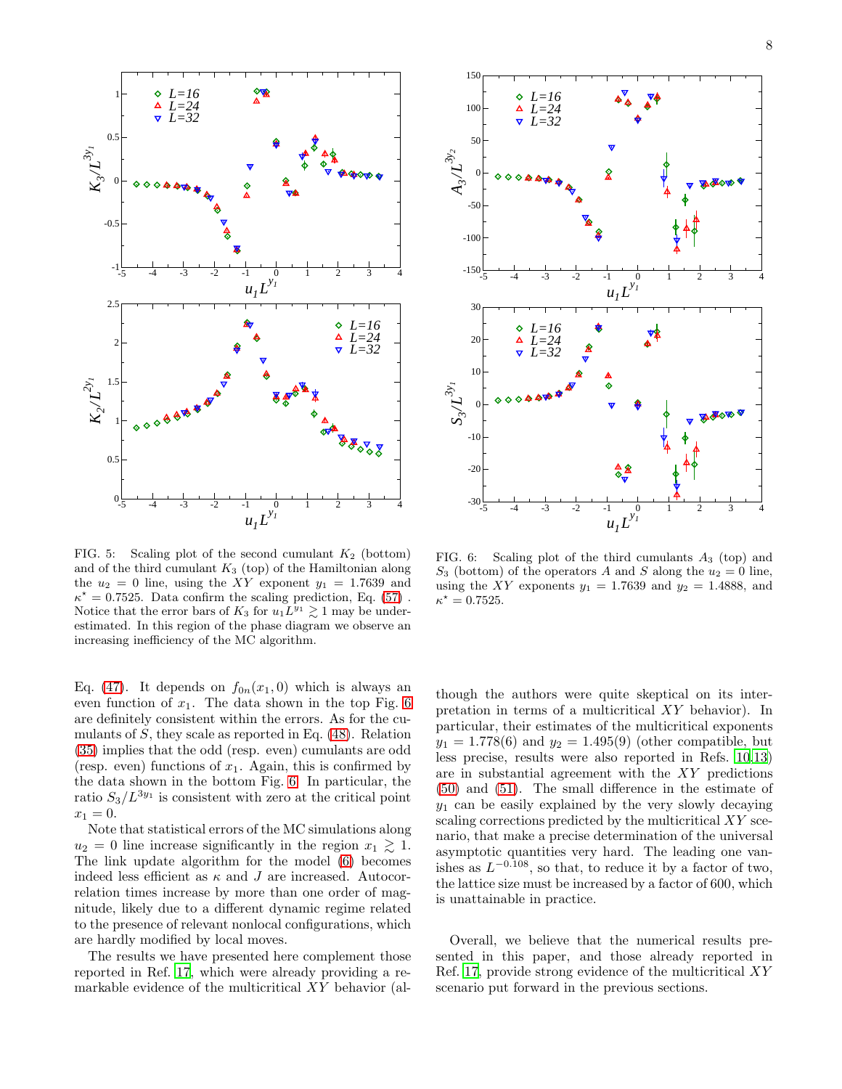

<span id="page-7-0"></span>FIG. 5: Scaling plot of the second cumulant  $K_2$  (bottom) and of the third cumulant  $K_3$  (top) of the Hamiltonian along the  $u_2 = 0$  line, using the XY exponent  $y_1 = 1.7639$  and  $\kappa^* = 0.7525$ . Data confirm the scaling prediction, Eq. [\(57\)](#page-6-3). Notice that the error bars of  $K_3$  for  $u_1L^{y_1} \gtrsim 1$  may be underestimated. In this region of the phase diagram we observe an increasing inefficiency of the MC algorithm.

Eq. [\(47\)](#page-4-3). It depends on  $f_{0n}(x_1, 0)$  which is always an even function of  $x_1$ . The data shown in the top Fig. [6](#page-7-1) are definitely consistent within the errors. As for the cumulants of  $S$ , they scale as reported in Eq. [\(48\)](#page-4-5). Relation [\(35\)](#page-3-0) implies that the odd (resp. even) cumulants are odd (resp. even) functions of  $x_1$ . Again, this is confirmed by the data shown in the bottom Fig. [6.](#page-7-1) In particular, the ratio  $S_3/L^{3y_1}$  is consistent with zero at the critical point  $x_1 = 0.$ 

Note that statistical errors of the MC simulations along  $u_2 = 0$  line increase significantly in the region  $x_1 \geq 1$ . The link update algorithm for the model [\(6\)](#page-1-5) becomes indeed less efficient as  $\kappa$  and J are increased. Autocorrelation times increase by more than one order of magnitude, likely due to a different dynamic regime related to the presence of relevant nonlocal configurations, which are hardly modified by local moves.

The results we have presented here complement those reported in Ref. [17](#page-8-13), which were already providing a remarkable evidence of the multicritical XY behavior (al-



<span id="page-7-1"></span>FIG. 6: Scaling plot of the third cumulants  $A_3$  (top) and  $S_3$  (bottom) of the operators A and S along the  $u_2 = 0$  line, using the XY exponents  $y_1 = 1.7639$  and  $y_2 = 1.4888$ , and  $\kappa^* = 0.7525.$ 

though the authors were quite skeptical on its interpretation in terms of a multicritical XY behavior). In particular, their estimates of the multicritical exponents  $y_1 = 1.778(6)$  and  $y_2 = 1.495(9)$  (other compatible, but less precise, results were also reported in Refs. [10](#page-8-14)[,13](#page-8-20)) are in substantial agreement with the XY predictions [\(50\)](#page-5-2) and [\(51\)](#page-5-3). The small difference in the estimate of  $y_1$  can be easily explained by the very slowly decaying scaling corrections predicted by the multicritical XY scenario, that make a precise determination of the universal asymptotic quantities very hard. The leading one vanishes as  $L^{-0.108}$ , so that, to reduce it by a factor of two, the lattice size must be increased by a factor of 600, which is unattainable in practice.

Overall, we believe that the numerical results presented in this paper, and those already reported in Ref. [17,](#page-8-13) provide strong evidence of the multicritical XY scenario put forward in the previous sections.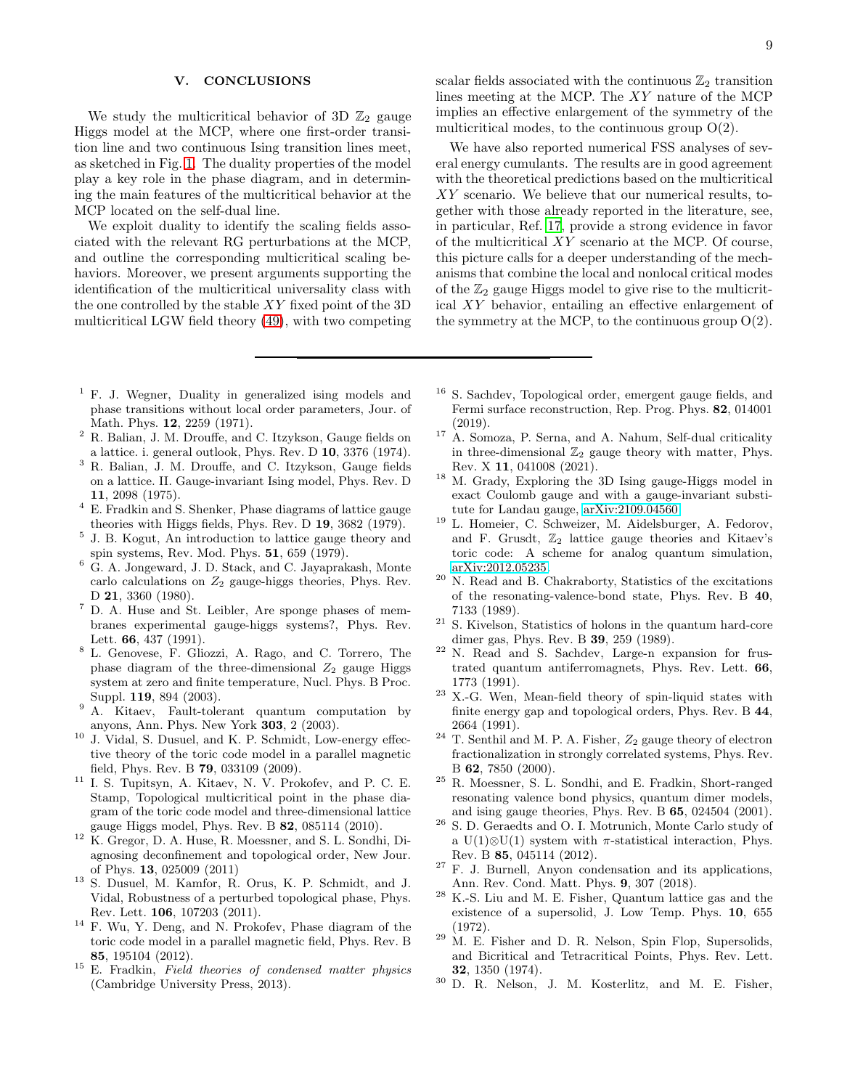# <span id="page-8-18"></span>V. CONCLUSIONS

We study the multicritical behavior of 3D  $\mathbb{Z}_2$  gauge Higgs model at the MCP, where one first-order transition line and two continuous Ising transition lines meet, as sketched in Fig. [1.](#page-0-0) The duality properties of the model play a key role in the phase diagram, and in determining the main features of the multicritical behavior at the MCP located on the self-dual line.

We exploit duality to identify the scaling fields associated with the relevant RG perturbations at the MCP, and outline the corresponding multicritical scaling behaviors. Moreover, we present arguments supporting the identification of the multicritical universality class with the one controlled by the stable  $XY$  fixed point of the 3D multicritical LGW field theory [\(49\)](#page-5-1), with two competing

- <span id="page-8-0"></span><sup>1</sup> F. J. Wegner, Duality in generalized ising models and phase transitions without local order parameters, Jour. of Math. Phys. 12, 2259 (1971).
- <sup>2</sup> R. Balian, J. M. Drouffe, and C. Itzykson, Gauge fields on a lattice. i. general outlook, Phys. Rev. D 10, 3376 (1974).
- <span id="page-8-8"></span><sup>3</sup> R. Balian, J. M. Drouffe, and C. Itzykson, Gauge fields on a lattice. II. Gauge-invariant Ising model, Phys. Rev. D 11, 2098 (1975).
- <span id="page-8-6"></span><sup>4</sup> E. Fradkin and S. Shenker, Phase diagrams of lattice gauge theories with Higgs fields, Phys. Rev. D 19, 3682 (1979).
- <span id="page-8-7"></span>5 J. B. Kogut, An introduction to lattice gauge theory and spin systems, Rev. Mod. Phys. 51, 659 (1979).
- <span id="page-8-11"></span><sup>6</sup> G. A. Jongeward, J. D. Stack, and C. Jayaprakash, Monte carlo calculations on  $Z_2$  gauge-higgs theories, Phys. Rev. D 21, 3360 (1980).
- <span id="page-8-4"></span><sup>7</sup> D. A. Huse and St. Leibler, Are sponge phases of membranes experimental gauge-higgs systems?, Phys. Rev. Lett. 66, 437 (1991).
- <span id="page-8-12"></span><sup>8</sup> L. Genovese, F. Gliozzi, A. Rago, and C. Torrero, The phase diagram of the three-dimensional  $Z_2$  gauge Higgs system at zero and finite temperature, Nucl. Phys. B Proc. Suppl. 119, 894 (2003).
- <span id="page-8-2"></span><sup>9</sup> A. Kitaev, Fault-tolerant quantum computation by anyons, Ann. Phys. New York 303, 2 (2003).
- <span id="page-8-14"></span><sup>10</sup> J. Vidal, S. Dusuel, and K. P. Schmidt, Low-energy effective theory of the toric code model in a parallel magnetic field, Phys. Rev. B 79, 033109 (2009).
- <span id="page-8-3"></span><sup>11</sup> I. S. Tupitsyn, A. Kitaev, N. V. Prokofev, and P. C. E. Stamp, Topological multicritical point in the phase diagram of the toric code model and three-dimensional lattice gauge Higgs model, Phys. Rev. B 82, 085114 (2010).
- <span id="page-8-5"></span><sup>12</sup> K. Gregor, D. A. Huse, R. Moessner, and S. L. Sondhi, Diagnosing deconfinement and topological order, New Jour. of Phys. 13, 025009 (2011)
- <span id="page-8-20"></span><sup>13</sup> S. Dusuel, M. Kamfor, R. Orus, K. P. Schmidt, and J. Vidal, Robustness of a perturbed topological phase, Phys. Rev. Lett. 106, 107203 (2011).
- <sup>14</sup> F. Wu, Y. Deng, and N. Prokofev, Phase diagram of the toric code model in a parallel magnetic field, Phys. Rev. B 85, 195104 (2012).
- <sup>15</sup> E. Fradkin, Field theories of condensed matter physics (Cambridge University Press, 2013).

scalar fields associated with the continuous  $\mathbb{Z}_2$  transition lines meeting at the MCP. The XY nature of the MCP implies an effective enlargement of the symmetry of the multicritical modes, to the continuous group  $O(2)$ .

We have also reported numerical FSS analyses of several energy cumulants. The results are in good agreement with the theoretical predictions based on the multicritical XY scenario. We believe that our numerical results, together with those already reported in the literature, see, in particular, Ref. [17](#page-8-13), provide a strong evidence in favor of the multicritical XY scenario at the MCP. Of course, this picture calls for a deeper understanding of the mechanisms that combine the local and nonlocal critical modes of the  $\mathbb{Z}_2$  gauge Higgs model to give rise to the multicritical XY behavior, entailing an effective enlargement of the symmetry at the MCP, to the continuous group  $O(2)$ .

- <sup>16</sup> S. Sachdev, Topological order, emergent gauge fields, and Fermi surface reconstruction, Rep. Prog. Phys. 82, 014001 (2019).
- <span id="page-8-13"></span><sup>17</sup> A. Somoza, P. Serna, and A. Nahum, Self-dual criticality in three-dimensional  $\mathbb{Z}_2$  gauge theory with matter, Phys. Rev. X 11, 041008 (2021).
- <sup>18</sup> M. Grady, Exploring the 3D Ising gauge-Higgs model in exact Coulomb gauge and with a gauge-invariant substitute for Landau gauge, [arXiv:2109.04560.](http://arxiv.org/abs/2109.04560)
- <span id="page-8-1"></span><sup>19</sup> L. Homeier, C. Schweizer, M. Aidelsburger, A. Fedorov, and F. Grusdt,  $\mathbb{Z}_2$  lattice gauge theories and Kitaev's toric code: A scheme for analog quantum simulation, [arXiv:2012.05235.](http://arxiv.org/abs/2012.05235)
- <span id="page-8-9"></span><sup>20</sup> N. Read and B. Chakraborty, Statistics of the excitations of the resonating-valence-bond state, Phys. Rev. B 40, 7133 (1989).
- <sup>21</sup> S. Kivelson, Statistics of holons in the quantum hard-core dimer gas, Phys. Rev. B 39, 259 (1989).
- <sup>22</sup> N. Read and S. Sachdev, Large-n expansion for frustrated quantum antiferromagnets, Phys. Rev. Lett. 66, 1773 (1991).
- $23$  X.-G. Wen, Mean-field theory of spin-liquid states with finite energy gap and topological orders, Phys. Rev. B 44, 2664 (1991).
- $^{24}$  T. Senthil and M. P. A. Fisher,  $\mathbb{Z}_2$  gauge theory of electron fractionalization in strongly correlated systems, Phys. Rev. B 62, 7850 (2000).
- <span id="page-8-10"></span><sup>25</sup> R. Moessner, S. L. Sondhi, and E. Fradkin, Short-ranged resonating valence bond physics, quantum dimer models, and ising gauge theories, Phys. Rev. B 65, 024504 (2001).
- <span id="page-8-15"></span><sup>26</sup> S. D. Geraedts and O. I. Motrunich, Monte Carlo study of a U(1)⊗U(1) system with  $\pi$ -statistical interaction, Phys. Rev. B 85, 045114 (2012).
- <span id="page-8-16"></span><sup>27</sup> F. J. Burnell, Anyon condensation and its applications, Ann. Rev. Cond. Matt. Phys. 9, 307 (2018).
- <span id="page-8-17"></span><sup>28</sup> K.-S. Liu and M. E. Fisher, Quantum lattice gas and the existence of a supersolid, J. Low Temp. Phys. 10, 655  $(1972)$
- $29$  M. E. Fisher and D. R. Nelson, Spin Flop, Supersolids, and Bicritical and Tetracritical Points, Phys. Rev. Lett. 32, 1350 (1974).
- <span id="page-8-19"></span><sup>30</sup> D. R. Nelson, J. M. Kosterlitz, and M. E. Fisher,